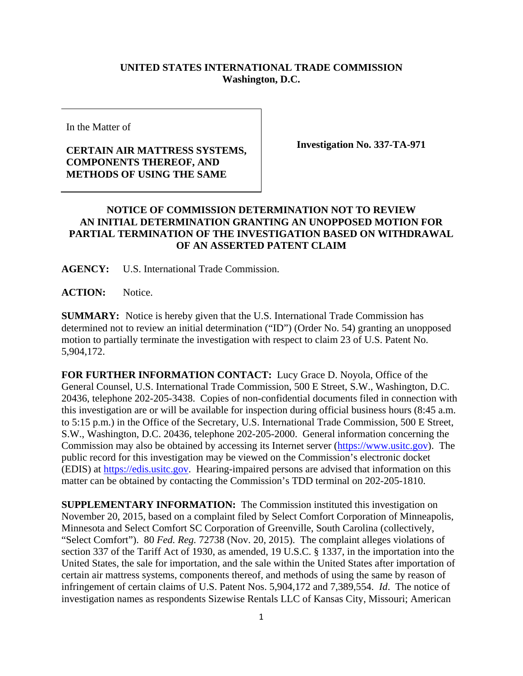## **UNITED STATES INTERNATIONAL TRADE COMMISSION Washington, D.C.**

In the Matter of

## **CERTAIN AIR MATTRESS SYSTEMS, COMPONENTS THEREOF, AND METHODS OF USING THE SAME**

**Investigation No. 337-TA-971** 

## **NOTICE OF COMMISSION DETERMINATION NOT TO REVIEW AN INITIAL DETERMINATION GRANTING AN UNOPPOSED MOTION FOR PARTIAL TERMINATION OF THE INVESTIGATION BASED ON WITHDRAWAL OF AN ASSERTED PATENT CLAIM**

**AGENCY:** U.S. International Trade Commission.

**ACTION:** Notice.

**SUMMARY:** Notice is hereby given that the U.S. International Trade Commission has determined not to review an initial determination ("ID") (Order No. 54) granting an unopposed motion to partially terminate the investigation with respect to claim 23 of U.S. Patent No. 5,904,172.

**FOR FURTHER INFORMATION CONTACT:** Lucy Grace D. Noyola, Office of the General Counsel, U.S. International Trade Commission, 500 E Street, S.W., Washington, D.C. 20436, telephone 202-205-3438. Copies of non-confidential documents filed in connection with this investigation are or will be available for inspection during official business hours (8:45 a.m. to 5:15 p.m.) in the Office of the Secretary, U.S. International Trade Commission, 500 E Street, S.W., Washington, D.C. 20436, telephone 202-205-2000. General information concerning the Commission may also be obtained by accessing its Internet server (https://www.usitc.gov). The public record for this investigation may be viewed on the Commission's electronic docket (EDIS) at https://edis.usitc.gov. Hearing-impaired persons are advised that information on this matter can be obtained by contacting the Commission's TDD terminal on 202-205-1810.

**SUPPLEMENTARY INFORMATION:** The Commission instituted this investigation on November 20, 2015, based on a complaint filed by Select Comfort Corporation of Minneapolis, Minnesota and Select Comfort SC Corporation of Greenville, South Carolina (collectively, "Select Comfort"). 80 *Fed. Reg.* 72738 (Nov. 20, 2015). The complaint alleges violations of section 337 of the Tariff Act of 1930, as amended, 19 U.S.C. § 1337, in the importation into the United States, the sale for importation, and the sale within the United States after importation of certain air mattress systems, components thereof, and methods of using the same by reason of infringement of certain claims of U.S. Patent Nos. 5,904,172 and 7,389,554. *Id*. The notice of investigation names as respondents Sizewise Rentals LLC of Kansas City, Missouri; American